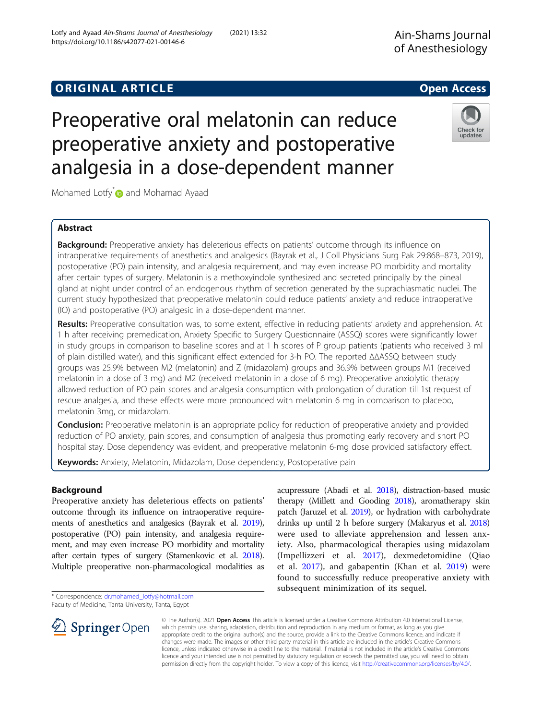# **ORIGINAL ARTICLE** And the open Access of the Open Access of the Open Access of the Open Access of the Open Access

# Preoperative oral melatonin can reduce preoperative anxiety and postoperative analgesia in a dose-dependent manner

Mohamed Lotfy<sup>\*</sup> and Mohamad Ayaad

# Abstract

**Background:** Preoperative anxiety has deleterious effects on patients' outcome through its influence on intraoperative requirements of anesthetics and analgesics (Bayrak et al., J Coll Physicians Surg Pak 29:868–873, 2019), postoperative (PO) pain intensity, and analgesia requirement, and may even increase PO morbidity and mortality after certain types of surgery. Melatonin is a methoxyindole synthesized and secreted principally by the pineal gland at night under control of an endogenous rhythm of secretion generated by the suprachiasmatic nuclei. The current study hypothesized that preoperative melatonin could reduce patients' anxiety and reduce intraoperative (IO) and postoperative (PO) analgesic in a dose-dependent manner.

Results: Preoperative consultation was, to some extent, effective in reducing patients' anxiety and apprehension. At 1 h after receiving premedication, Anxiety Specific to Surgery Questionnaire (ASSQ) scores were significantly lower in study groups in comparison to baseline scores and at 1 h scores of P group patients (patients who received 3 ml of plain distilled water), and this significant effect extended for 3-h PO. The reported ΔΔASSQ between study groups was 25.9% between M2 (melatonin) and Z (midazolam) groups and 36.9% between groups M1 (received melatonin in a dose of 3 mg) and M2 (received melatonin in a dose of 6 mg). Preoperative anxiolytic therapy allowed reduction of PO pain scores and analgesia consumption with prolongation of duration till 1st request of rescue analgesia, and these effects were more pronounced with melatonin 6 mg in comparison to placebo, melatonin 3mg, or midazolam.

**Conclusion:** Preoperative melatonin is an appropriate policy for reduction of preoperative anxiety and provided reduction of PO anxiety, pain scores, and consumption of analgesia thus promoting early recovery and short PO hospital stay. Dose dependency was evident, and preoperative melatonin 6-mg dose provided satisfactory effect.

Keywords: Anxiety, Melatonin, Midazolam, Dose dependency, Postoperative pain

# Background

Preoperative anxiety has deleterious effects on patients' outcome through its influence on intraoperative requirements of anesthetics and analgesics (Bayrak et al. [2019](#page-9-0)), postoperative (PO) pain intensity, and analgesia requirement, and may even increase PO morbidity and mortality after certain types of surgery (Stamenkovic et al. [2018](#page-10-0)). Multiple preoperative non-pharmacological modalities as

\* Correspondence: [dr.mohamed\\_lotfy@hotmail.com](mailto:dr.mohamed_lotfy@hotmail.com)

Faculty of Medicine, Tanta University, Tanta, Egypt

SpringerOpen

© The Author(s). 2021 Open Access This article is licensed under a Creative Commons Attribution 4.0 International License, which permits use, sharing, adaptation, distribution and reproduction in any medium or format, as long as you give appropriate credit to the original author(s) and the source, provide a link to the Creative Commons licence, and indicate if changes were made. The images or other third party material in this article are included in the article's Creative Commons licence, unless indicated otherwise in a credit line to the material. If material is not included in the article's Creative Commons licence and your intended use is not permitted by statutory regulation or exceeds the permitted use, you will need to obtain permission directly from the copyright holder. To view a copy of this licence, visit <http://creativecommons.org/licenses/by/4.0/>.

acupressure (Abadi et al. [2018\)](#page-9-0), distraction-based music therapy (Millett and Gooding [2018](#page-9-0)), aromatherapy skin patch (Jaruzel et al. [2019\)](#page-9-0), or hydration with carbohydrate drinks up until 2 h before surgery (Makaryus et al. [2018](#page-9-0)) were used to alleviate apprehension and lessen anxiety. Also, pharmacological therapies using midazolam (Impellizzeri et al. [2017\)](#page-9-0), dexmedetomidine (Qiao et al. [2017\)](#page-10-0), and gabapentin (Khan et al. [2019\)](#page-9-0) were found to successfully reduce preoperative anxiety with

subsequent minimization of its sequel.





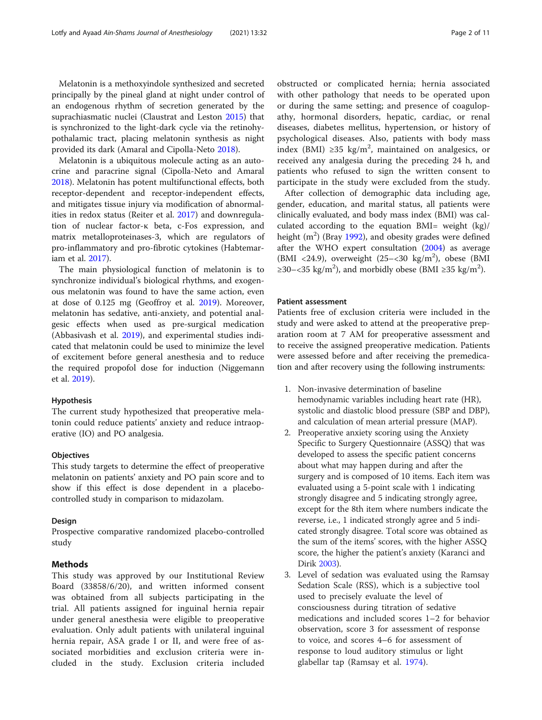Melatonin is a methoxyindole synthesized and secreted principally by the pineal gland at night under control of an endogenous rhythm of secretion generated by the suprachiasmatic nuclei (Claustrat and Leston [2015\)](#page-9-0) that is synchronized to the light-dark cycle via the retinohypothalamic tract, placing melatonin synthesis as night provided its dark (Amaral and Cipolla-Neto [2018\)](#page-9-0).

Melatonin is a ubiquitous molecule acting as an autocrine and paracrine signal (Cipolla-Neto and Amaral [2018](#page-9-0)). Melatonin has potent multifunctional effects, both receptor-dependent and receptor-independent effects, and mitigates tissue injury via modification of abnormalities in redox status (Reiter et al. [2017\)](#page-10-0) and downregulation of nuclear factor-κ beta, c-Fos expression, and matrix metalloproteinases-3, which are regulators of pro-inflammatory and pro-fibrotic cytokines (Habtemariam et al. [2017\)](#page-9-0).

The main physiological function of melatonin is to synchronize individual's biological rhythms, and exogenous melatonin was found to have the same action, even at dose of 0.125 mg (Geoffroy et al. [2019](#page-9-0)). Moreover, melatonin has sedative, anti-anxiety, and potential analgesic effects when used as pre-surgical medication (Abbasivash et al. [2019\)](#page-9-0), and experimental studies indicated that melatonin could be used to minimize the level of excitement before general anesthesia and to reduce the required propofol dose for induction (Niggemann et al. [2019\)](#page-9-0).

#### Hypothesis

The current study hypothesized that preoperative melatonin could reduce patients' anxiety and reduce intraoperative (IO) and PO analgesia.

#### **Objectives**

This study targets to determine the effect of preoperative melatonin on patients' anxiety and PO pain score and to show if this effect is dose dependent in a placebocontrolled study in comparison to midazolam.

#### Design

Prospective comparative randomized placebo-controlled study

# Methods

This study was approved by our Institutional Review Board (33858/6/20), and written informed consent was obtained from all subjects participating in the trial. All patients assigned for inguinal hernia repair under general anesthesia were eligible to preoperative evaluation. Only adult patients with unilateral inguinal hernia repair, ASA grade I or II, and were free of associated morbidities and exclusion criteria were included in the study. Exclusion criteria included obstructed or complicated hernia; hernia associated with other pathology that needs to be operated upon or during the same setting; and presence of coagulopathy, hormonal disorders, hepatic, cardiac, or renal diseases, diabetes mellitus, hypertension, or history of psychological diseases. Also, patients with body mass index (BMI) ≥35 kg/m<sup>2</sup>, maintained on analgesics, or received any analgesia during the preceding 24 h, and patients who refused to sign the written consent to participate in the study were excluded from the study.

After collection of demographic data including age, gender, education, and marital status, all patients were clinically evaluated, and body mass index (BMI) was calculated according to the equation BMI= weight (kg)/ height  $(m^2)$  (Bray [1992\)](#page-9-0), and obesity grades were defined after the WHO expert consultation ([2004](#page-10-0)) as average (BMI <24.9), overweight (25-<30 kg/m<sup>2</sup>), obese (BMI ≥30–<35 kg/m<sup>2</sup>), and morbidly obese (BMI ≥35 kg/m<sup>2</sup>).

# Patient assessment

Patients free of exclusion criteria were included in the study and were asked to attend at the preoperative preparation room at 7 AM for preoperative assessment and to receive the assigned preoperative medication. Patients were assessed before and after receiving the premedication and after recovery using the following instruments:

- 1. Non-invasive determination of baseline hemodynamic variables including heart rate (HR), systolic and diastolic blood pressure (SBP and DBP), and calculation of mean arterial pressure (MAP).
- 2. Preoperative anxiety scoring using the Anxiety Specific to Surgery Questionnaire (ASSQ) that was developed to assess the specific patient concerns about what may happen during and after the surgery and is composed of 10 items. Each item was evaluated using a 5-point scale with 1 indicating strongly disagree and 5 indicating strongly agree, except for the 8th item where numbers indicate the reverse, i.e., 1 indicated strongly agree and 5 indicated strongly disagree. Total score was obtained as the sum of the items' scores, with the higher ASSQ score, the higher the patient's anxiety (Karanci and Dirik [2003\)](#page-9-0).
- 3. Level of sedation was evaluated using the Ramsay Sedation Scale (RSS), which is a subjective tool used to precisely evaluate the level of consciousness during titration of sedative medications and included scores 1–2 for behavior observation, score 3 for assessment of response to voice, and scores 4–6 for assessment of response to loud auditory stimulus or light glabellar tap (Ramsay et al. [1974\)](#page-10-0).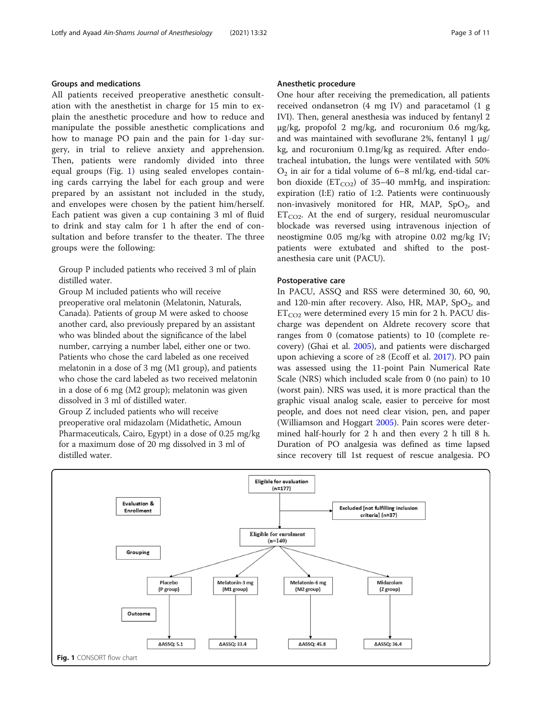# <span id="page-2-0"></span>Groups and medications

All patients received preoperative anesthetic consultation with the anesthetist in charge for 15 min to explain the anesthetic procedure and how to reduce and manipulate the possible anesthetic complications and how to manage PO pain and the pain for 1-day surgery, in trial to relieve anxiety and apprehension. Then, patients were randomly divided into three equal groups (Fig. 1) using sealed envelopes containing cards carrying the label for each group and were prepared by an assistant not included in the study, and envelopes were chosen by the patient him/herself. Each patient was given a cup containing 3 ml of fluid to drink and stay calm for 1 h after the end of consultation and before transfer to the theater. The three groups were the following:

Group P included patients who received 3 ml of plain distilled water.

Group M included patients who will receive preoperative oral melatonin (Melatonin, Naturals, Canada). Patients of group M were asked to choose another card, also previously prepared by an assistant who was blinded about the significance of the label number, carrying a number label, either one or two. Patients who chose the card labeled as one received melatonin in a dose of 3 mg (M1 group), and patients who chose the card labeled as two received melatonin in a dose of 6 mg (M2 group); melatonin was given dissolved in 3 ml of distilled water. Group Z included patients who will receive

preoperative oral midazolam (Midathetic, Amoun Pharmaceuticals, Cairo, Egypt) in a dose of 0.25 mg/kg for a maximum dose of 20 mg dissolved in 3 ml of distilled water.

#### Anesthetic procedure

One hour after receiving the premedication, all patients received ondansetron (4 mg IV) and paracetamol (1 g IVI). Then, general anesthesia was induced by fentanyl 2 μg/kg, propofol 2 mg/kg, and rocuronium 0.6 mg/kg, and was maintained with sevoflurane 2%, fentanyl 1  $\mu$ g/ kg, and rocuronium 0.1mg/kg as required. After endotracheal intubation, the lungs were ventilated with 50%  $O<sub>2</sub>$  in air for a tidal volume of 6–8 ml/kg, end-tidal carbon dioxide  $(ET_{CO2})$  of 35–40 mmHg, and inspiration: expiration (I:E) ratio of 1:2. Patients were continuously non-invasively monitored for HR, MAP,  $SpO<sub>2</sub>$ , and  $ET_{CO2}$ . At the end of surgery, residual neuromuscular blockade was reversed using intravenous injection of neostigmine 0.05 mg/kg with atropine 0.02 mg/kg IV; patients were extubated and shifted to the postanesthesia care unit (PACU).

#### Postoperative care

In PACU, ASSQ and RSS were determined 30, 60, 90, and 120-min after recovery. Also, HR, MAP,  $SpO<sub>2</sub>$ , and  $ET_{CO2}$  were determined every 15 min for 2 h. PACU discharge was dependent on Aldrete recovery score that ranges from 0 (comatose patients) to 10 (complete recovery) (Ghai et al. [2005](#page-9-0)), and patients were discharged upon achieving a score of ≥8 (Ecoff et al. [2017](#page-9-0)). PO pain was assessed using the 11-point Pain Numerical Rate Scale (NRS) which included scale from 0 (no pain) to 10 (worst pain). NRS was used, it is more practical than the graphic visual analog scale, easier to perceive for most people, and does not need clear vision, pen, and paper (Williamson and Hoggart [2005](#page-10-0)). Pain scores were determined half-hourly for 2 h and then every 2 h till 8 h. Duration of PO analgesia was defined as time lapsed since recovery till 1st request of rescue analgesia. PO

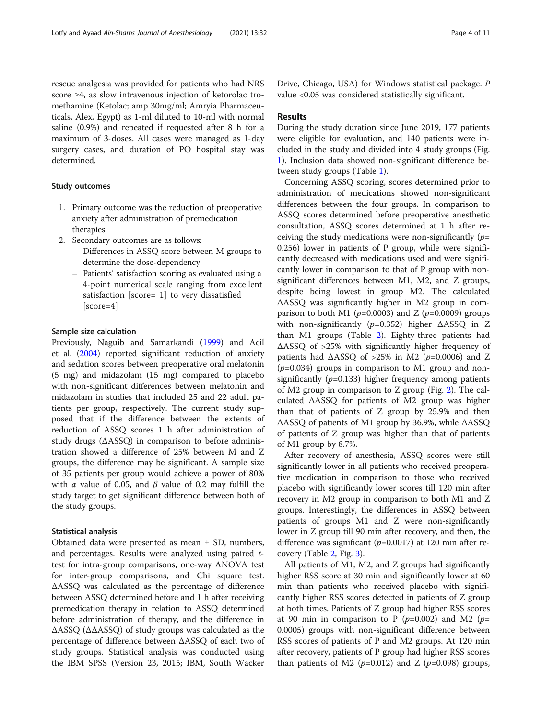rescue analgesia was provided for patients who had NRS score ≥4, as slow intravenous injection of ketorolac tromethamine (Ketolac; amp 30mg/ml; Amryia Pharmaceuticals, Alex, Egypt) as 1-ml diluted to 10-ml with normal saline (0.9%) and repeated if requested after 8 h for a maximum of 3-doses. All cases were managed as 1-day surgery cases, and duration of PO hospital stay was determined.

#### Study outcomes

- 1. Primary outcome was the reduction of preoperative anxiety after administration of premedication therapies.
- 2. Secondary outcomes are as follows:
	- Differences in ASSQ score between M groups to determine the dose-dependency
	- Patients' satisfaction scoring as evaluated using a 4-point numerical scale ranging from excellent satisfaction [score= 1] to very dissatisfied [score=4]

# Sample size calculation

Previously, Naguib and Samarkandi [\(1999\)](#page-9-0) and Acil et al. [\(2004](#page-9-0)) reported significant reduction of anxiety and sedation scores between preoperative oral melatonin (5 mg) and midazolam (15 mg) compared to placebo with non-significant differences between melatonin and midazolam in studies that included 25 and 22 adult patients per group, respectively. The current study supposed that if the difference between the extents of reduction of ASSQ scores 1 h after administration of study drugs (ΔASSQ) in comparison to before administration showed a difference of 25% between M and Z groups, the difference may be significant. A sample size of 35 patients per group would achieve a power of 80% with  $\alpha$  value of 0.05, and  $\beta$  value of 0.2 may fulfill the study target to get significant difference between both of the study groups.

#### Statistical analysis

Obtained data were presented as mean  $\pm$  SD, numbers, and percentages. Results were analyzed using paired ttest for intra-group comparisons, one-way ANOVA test for inter-group comparisons, and Chi square test. ΔASSQ was calculated as the percentage of difference between ASSQ determined before and 1 h after receiving premedication therapy in relation to ASSQ determined before administration of therapy, and the difference in ΔASSQ (ΔΔASSQ) of study groups was calculated as the percentage of difference between ΔASSQ of each two of study groups. Statistical analysis was conducted using the IBM SPSS (Version 23, 2015; IBM, South Wacker

Drive, Chicago, USA) for Windows statistical package. P value <0.05 was considered statistically significant.

#### Results

During the study duration since June 2019, 177 patients were eligible for evaluation, and 140 patients were included in the study and divided into 4 study groups (Fig. [1\)](#page-2-0). Inclusion data showed non-significant difference between study groups (Table [1\)](#page-4-0).

Concerning ASSQ scoring, scores determined prior to administration of medications showed non-significant differences between the four groups. In comparison to ASSQ scores determined before preoperative anesthetic consultation, ASSQ scores determined at 1 h after receiving the study medications were non-significantly  $(p=$ 0.256) lower in patients of P group, while were significantly decreased with medications used and were significantly lower in comparison to that of P group with nonsignificant differences between M1, M2, and Z groups, despite being lowest in group M2. The calculated ΔASSQ was significantly higher in M2 group in comparison to both M1 ( $p=0.0003$ ) and Z ( $p=0.0009$ ) groups with non-significantly ( $p=0.352$ ) higher  $\triangle$ ASSQ in Z than M1 groups (Table [2\)](#page-5-0). Eighty-three patients had ΔASSQ of >25% with significantly higher frequency of patients had  $\triangle$ ASSQ of >25% in M2 (p=0.0006) and Z  $(p=0.034)$  groups in comparison to M1 group and nonsignificantly ( $p=0.133$ ) higher frequency among patients of M2 group in comparison to Z group (Fig. [2\)](#page-5-0). The calculated ΔASSQ for patients of M2 group was higher than that of patients of Z group by 25.9% and then ΔASSQ of patients of M1 group by 36.9%, while ΔASSQ of patients of Z group was higher than that of patients of M1 group by 8.7%.

After recovery of anesthesia, ASSQ scores were still significantly lower in all patients who received preoperative medication in comparison to those who received placebo with significantly lower scores till 120 min after recovery in M2 group in comparison to both M1 and Z groups. Interestingly, the differences in ASSQ between patients of groups M1 and Z were non-significantly lower in Z group till 90 min after recovery, and then, the difference was significant ( $p=0.0017$ ) at 120 min after recovery (Table [2](#page-5-0), Fig. [3\)](#page-6-0).

All patients of M1, M2, and Z groups had significantly higher RSS score at 30 min and significantly lower at 60 min than patients who received placebo with significantly higher RSS scores detected in patients of Z group at both times. Patients of Z group had higher RSS scores at 90 min in comparison to P ( $p=0.002$ ) and M2 ( $p=$ 0.0005) groups with non-significant difference between RSS scores of patients of P and M2 groups. At 120 min after recovery, patients of P group had higher RSS scores than patients of M2 ( $p=0.012$ ) and Z ( $p=0.098$ ) groups,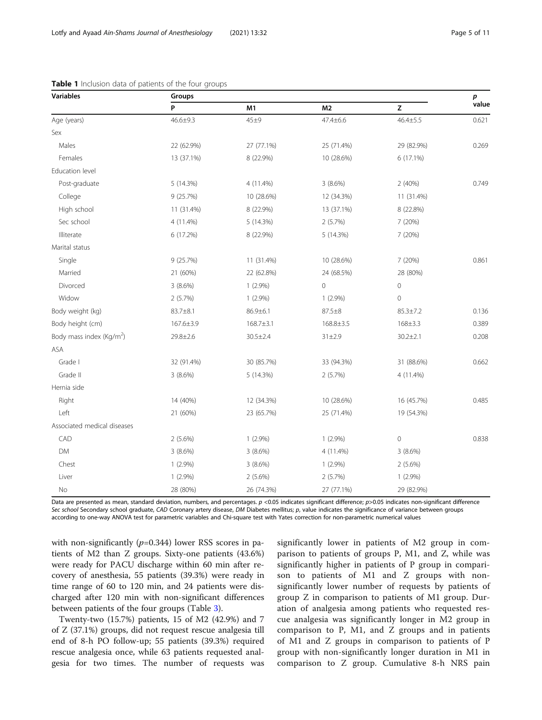| Variables                            | Groups         |                 |                |                                                                                   |       |  |  |
|--------------------------------------|----------------|-----------------|----------------|-----------------------------------------------------------------------------------|-------|--|--|
|                                      | P              | M1              | M <sub>2</sub> | $\mathsf{Z}% _{T}=\mathsf{Z}_{T}\!\left( a,b\right) ,\ \mathsf{Z}=\mathsf{Z}_{T}$ | value |  |  |
| Age (years)                          | $46.6 \pm 9.3$ | 45±9            | $47.4 \pm 6.6$ | $46.4 \pm 5.5$                                                                    | 0.621 |  |  |
| Sex                                  |                |                 |                |                                                                                   |       |  |  |
| Males                                | 22 (62.9%)     | 27 (77.1%)      | 25 (71.4%)     | 29 (82.9%)                                                                        | 0.269 |  |  |
| Females                              | 13 (37.1%)     | 8 (22.9%)       | 10 (28.6%)     | 6 (17.1%)                                                                         |       |  |  |
| Education level                      |                |                 |                |                                                                                   |       |  |  |
| Post-graduate                        | 5 (14.3%)      | 4 (11.4%)       | $3(8.6\%)$     | 2 (40%)                                                                           | 0.749 |  |  |
| College                              | 9(25.7%)       | 10 (28.6%)      | 12 (34.3%)     | 11 (31.4%)                                                                        |       |  |  |
| High school                          | 11 (31.4%)     | 8 (22.9%)       | 13 (37.1%)     | 8 (22.8%)                                                                         |       |  |  |
| Sec school                           | 4 (11.4%)      | 5 (14.3%)       | 2(5.7%)        | 7 (20%)                                                                           |       |  |  |
| Illiterate                           | 6 (17.2%)      | 8 (22.9%)       | 5 (14.3%)      | 7 (20%)                                                                           |       |  |  |
| Marital status                       |                |                 |                |                                                                                   |       |  |  |
| Single                               | 9 (25.7%)      | 11 (31.4%)      | 10 (28.6%)     | 7 (20%)                                                                           | 0.861 |  |  |
| Married                              | 21 (60%)       | 22 (62.8%)      | 24 (68.5%)     | 28 (80%)                                                                          |       |  |  |
| Divorced                             | 3(8.6%)        | $1(2.9\%)$      | $\mathbf 0$    | $\mathbf 0$                                                                       |       |  |  |
| Widow                                | 2(5.7%)        | $1(2.9\%)$      | $1(2.9\%)$     | 0                                                                                 |       |  |  |
| Body weight (kg)                     | 83.7±8.1       | 86.9±6.1        | $87.5 + 8$     | $85.3 \pm 7.2$                                                                    | 0.136 |  |  |
| Body height (cm)                     | 167.6±3.9      | $168.7 \pm 3.1$ | 168.8±3.5      | 168±3.3                                                                           | 0.389 |  |  |
| Body mass index (Kg/m <sup>2</sup> ) | 29.8±2.6       | $30.5 \pm 2.4$  | 31 ± 2.9       | $30.2 \pm 2.1$                                                                    | 0.208 |  |  |
| ASA                                  |                |                 |                |                                                                                   |       |  |  |
| Grade I                              | 32 (91.4%)     | 30 (85.7%)      | 33 (94.3%)     | 31 (88.6%)                                                                        | 0.662 |  |  |
| Grade II                             | 3(8.6%)        | 5 (14.3%)       | 2(5.7%)        | 4 (11.4%)                                                                         |       |  |  |
| Hernia side                          |                |                 |                |                                                                                   |       |  |  |
| Right                                | 14 (40%)       | 12 (34.3%)      | 10 (28.6%)     | 16 (45.7%)                                                                        | 0.485 |  |  |
| Left                                 | 21 (60%)       | 23 (65.7%)      | 25 (71.4%)     | 19 (54.3%)                                                                        |       |  |  |
| Associated medical diseases          |                |                 |                |                                                                                   |       |  |  |
| CAD                                  | $2(5.6\%)$     | $1(2.9\%)$      | $1(2.9\%)$     | $\mathbf 0$                                                                       | 0.838 |  |  |
| <b>DM</b>                            | 3(8.6%)        | 3(8.6%)         | 4 (11.4%)      | 3(8.6%)                                                                           |       |  |  |
| Chest                                | $1(2.9\%)$     | 3(8.6%)         | $1(2.9\%)$     | $2(5.6\%)$                                                                        |       |  |  |
| Liver                                | $1(2.9\%)$     | $2(5.6\%)$      | 2(5.7%)        | $1(2.9\%)$                                                                        |       |  |  |
| No                                   | 28 (80%)       | 26 (74.3%)      | 27 (77.1%)     | 29 (82.9%)                                                                        |       |  |  |

<span id="page-4-0"></span>

|  |  | Table 1 Inclusion data of patients of the four groups |
|--|--|-------------------------------------------------------|
|  |  |                                                       |

Data are presented as mean, standard deviation, numbers, and percentages. p <0.05 indicates significant difference; p>0.05 indicates non-significant difference Sec school Secondary school graduate, CAD Coronary artery disease, DM Diabetes mellitus; p, value indicates the significance of variance between groups according to one-way ANOVA test for parametric variables and Chi-square test with Yates correction for non-parametric numerical values

with non-significantly  $(p=0.344)$  lower RSS scores in patients of M2 than Z groups. Sixty-one patients (43.6%) were ready for PACU discharge within 60 min after recovery of anesthesia, 55 patients (39.3%) were ready in time range of 60 to 120 min, and 24 patients were discharged after 120 min with non-significant differences between patients of the four groups (Table [3\)](#page-6-0).

Twenty-two (15.7%) patients, 15 of M2 (42.9%) and 7 of Z (37.1%) groups, did not request rescue analgesia till end of 8-h PO follow-up; 55 patients (39.3%) required rescue analgesia once, while 63 patients requested analgesia for two times. The number of requests was

significantly lower in patients of M2 group in comparison to patients of groups P, M1, and Z, while was significantly higher in patients of P group in comparison to patients of M1 and Z groups with nonsignificantly lower number of requests by patients of group Z in comparison to patients of M1 group. Duration of analgesia among patients who requested rescue analgesia was significantly longer in M2 group in comparison to P, M1, and Z groups and in patients of M1 and Z groups in comparison to patients of P group with non-significantly longer duration in M1 in comparison to Z group. Cumulative 8-h NRS pain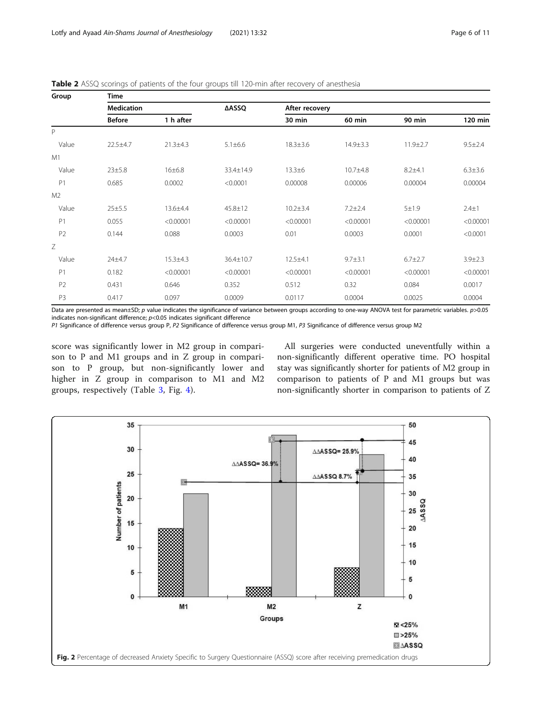<span id="page-5-0"></span>

| Table 2 ASSQ scorings of patients of the four groups till 120-min after recovery of anesthesia |  |  |  |
|------------------------------------------------------------------------------------------------|--|--|--|
|------------------------------------------------------------------------------------------------|--|--|--|

| Group          | <b>Time</b>       |                |               |                |                |                |               |  |  |  |  |  |
|----------------|-------------------|----------------|---------------|----------------|----------------|----------------|---------------|--|--|--|--|--|
|                | <b>Medication</b> |                |               | After recovery |                |                |               |  |  |  |  |  |
|                | <b>Before</b>     | 1 h after      |               | 30 min         | 60 min         | 90 min         | 120 min       |  |  |  |  |  |
| P              |                   |                |               |                |                |                |               |  |  |  |  |  |
| Value          | $22.5 + 4.7$      | $21.3 \pm 4.3$ | $5.1 \pm 6.6$ | $18.3 \pm 3.6$ | $14.9 \pm 3.3$ | $11.9 \pm 2.7$ | $9.5 \pm 2.4$ |  |  |  |  |  |
| M1             |                   |                |               |                |                |                |               |  |  |  |  |  |
| Value          | 23±5.8            | 16±6.8         | 33.4±14.9     | $13.3 + 6$     | $10.7 + 4.8$   | $8.2 + 4.1$    | $6.3 \pm 3.6$ |  |  |  |  |  |
| P <sub>1</sub> | 0.685             | 0.0002         | < 0.0001      | 0.00008        | 0.00006        | 0.00004        | 0.00004       |  |  |  |  |  |
| M <sub>2</sub> |                   |                |               |                |                |                |               |  |  |  |  |  |
| Value          | $25 + 5.5$        | 13.6±4.4       | $45.8 \pm 12$ | $10.2 \pm 3.4$ | $7.2 \pm 2.4$  | $5 + 1.9$      | $2.4 \pm 1$   |  |  |  |  |  |
| P1             | 0.055             | < 0.00001      | < 0.00001     | < 0.00001      | < 0.00001      | < 0.00001      | < 0.00001     |  |  |  |  |  |
| P <sub>2</sub> | 0.144             | 0.088          | 0.0003        | 0.01           | 0.0003         | 0.0001         | < 0.0001      |  |  |  |  |  |
| Ζ              |                   |                |               |                |                |                |               |  |  |  |  |  |
| Value          | $24 + 4.7$        | $15.3 \pm 4.3$ | 36.4±10.7     | $12.5 + 4.1$   | $9.7 + 3.1$    | $6.7 \pm 2.7$  | $3.9 \pm 2.3$ |  |  |  |  |  |
| P1             | 0.182             | < 0.00001      | < 0.00001     | < 0.00001      | < 0.00001      | < 0.00001      | < 0.00001     |  |  |  |  |  |
| P <sub>2</sub> | 0.431             | 0.646          | 0.352         | 0.512          | 0.32           | 0.084          | 0.0017        |  |  |  |  |  |
| P <sub>3</sub> | 0.417             | 0.097          | 0.0009        | 0.0117         | 0.0004         | 0.0025         | 0.0004        |  |  |  |  |  |

Data are presented as mean±SD; p value indicates the significance of variance between groups according to one-way ANOVA test for parametric variables. p>0.05 indicates non-significant difference;  $p<$  0.05 indicates significant difference

P1 Significance of difference versus group P, P2 Significance of difference versus group M1, P3 Significance of difference versus group M2

score was significantly lower in M2 group in comparison to P and M1 groups and in Z group in comparison to P group, but non-significantly lower and higher in Z group in comparison to M1 and M2 groups, respectively (Table [3](#page-6-0), Fig. [4](#page-7-0)).

All surgeries were conducted uneventfully within a non-significantly different operative time. PO hospital stay was significantly shorter for patients of M2 group in comparison to patients of P and M1 groups but was non-significantly shorter in comparison to patients of Z

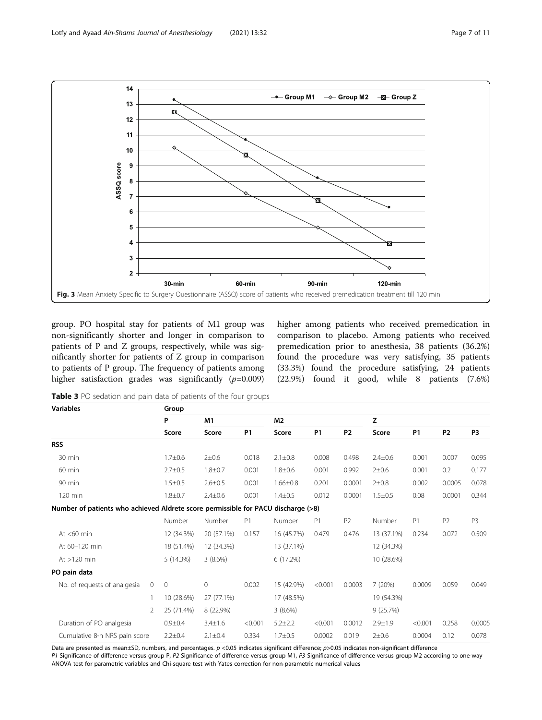<span id="page-6-0"></span>

group. PO hospital stay for patients of M1 group was non-significantly shorter and longer in comparison to patients of P and Z groups, respectively, while was significantly shorter for patients of Z group in comparison to patients of P group. The frequency of patients among higher satisfaction grades was significantly  $(p=0.009)$  higher among patients who received premedication in comparison to placebo. Among patients who received premedication prior to anesthesia, 38 patients (36.2%) found the procedure was very satisfying, 35 patients (33.3%) found the procedure satisfying, 24 patients (22.9%) found it good, while 8 patients (7.6%)

Table 3 PO sedation and pain data of patients of the four groups

| <b>Variables</b>                                                                  |               | Group          |               |                |                |         |                |               |                |                |                |
|-----------------------------------------------------------------------------------|---------------|----------------|---------------|----------------|----------------|---------|----------------|---------------|----------------|----------------|----------------|
|                                                                                   |               | P              | M1            |                | M <sub>2</sub> |         | z              |               |                |                |                |
|                                                                                   |               | Score          | Score         | P <sub>1</sub> | Score          |         | P <sub>2</sub> | Score         | P <sub>1</sub> | P <sub>2</sub> | P3             |
| <b>RSS</b>                                                                        |               |                |               |                |                |         |                |               |                |                |                |
| 30 min                                                                            |               | $1.7 + 0.6$    | $2 + 0.6$     | 0.018          | $2.1 \pm 0.8$  | 0.008   | 0.498          | $2.4 + 0.6$   | 0.001          | 0.007          | 0.095          |
| 60 min                                                                            |               | $2.7 \pm 0.5$  | $1.8 + 0.7$   | 0.001          | $1.8 + 0.6$    | 0.001   | 0.992          | $2 + 0.6$     | 0.001          | 0.2            | 0.177          |
| 90 min                                                                            |               | $1.5 \pm 0.5$  | $2.6 \pm 0.5$ | 0.001          | $1.66 \pm 0.8$ | 0.201   | 0.0001         | $2 + 0.8$     | 0.002          | 0.0005         | 0.078          |
| 120 min                                                                           |               | $1.8 + 0.7$    | $2.4 \pm 0.6$ | 0.001          | $1.4 \pm 0.5$  | 0.012   | 0.0001         | $1.5 \pm 0.5$ | 0.08           | 0.0001         | 0.344          |
| Number of patients who achieved Aldrete score permissible for PACU discharge (>8) |               |                |               |                |                |         |                |               |                |                |                |
|                                                                                   |               | Number         | Number        | P <sub>1</sub> | Number         | P1      | P <sub>2</sub> | Number        | P1             | P <sub>2</sub> | P <sub>3</sub> |
| At $<$ 60 min                                                                     |               | 12 (34.3%)     | 20 (57.1%)    | 0.157          | 16 (45.7%)     | 0.479   | 0.476          | 13 (37.1%)    | 0.234          | 0.072          | 0.509          |
| At 60-120 min                                                                     |               | 18 (51.4%)     | 12 (34.3%)    |                | 13 (37.1%)     |         |                | 12 (34.3%)    |                |                |                |
| At $>120$ min                                                                     |               | 5(14.3%)       | 3(8.6%)       |                | 6(17.2%)       |         |                | 10 (28.6%)    |                |                |                |
| PO pain data                                                                      |               |                |               |                |                |         |                |               |                |                |                |
| No. of requests of analgesia                                                      | 0             | $\overline{0}$ | 0             | 0.002          | 15 (42.9%)     | < 0.001 | 0.0003         | 7(20%)        | 0.0009         | 0.059          | 0.049          |
|                                                                                   |               | 10 (28.6%)     | 27 (77.1%)    |                | 17 (48.5%)     |         |                | 19 (54.3%)    |                |                |                |
|                                                                                   | $\mathcal{P}$ | 25 (71.4%)     | 8 (22.9%)     |                | 3(8.6%)        |         |                | 9(25.7%)      |                |                |                |
| Duration of PO analgesia                                                          |               | $0.9 + 0.4$    | $3.4 \pm 1.6$ | < 0.001        | $5.2 \pm 2.2$  | < 0.001 | 0.0012         | $2.9 + 1.9$   | < 0.001        | 0.258          | 0.0005         |
| Cumulative 8-h NRS pain score                                                     |               | $2.2 \pm 0.4$  | $2.1 \pm 0.4$ | 0.334          | $1.7 + 0.5$    | 0.0002  | 0.019          | $2 + 0.6$     | 0.0004         | 0.12           | 0.078          |

Data are presented as mean±SD, numbers, and percentages. p <0.05 indicates significant difference; p>0.05 indicates non-significant difference P1 Significance of difference versus group P, P2 Significance of difference versus group M1, P3 Significance of difference versus group M2 according to one-way ANOVA test for parametric variables and Chi-square test with Yates correction for non-parametric numerical values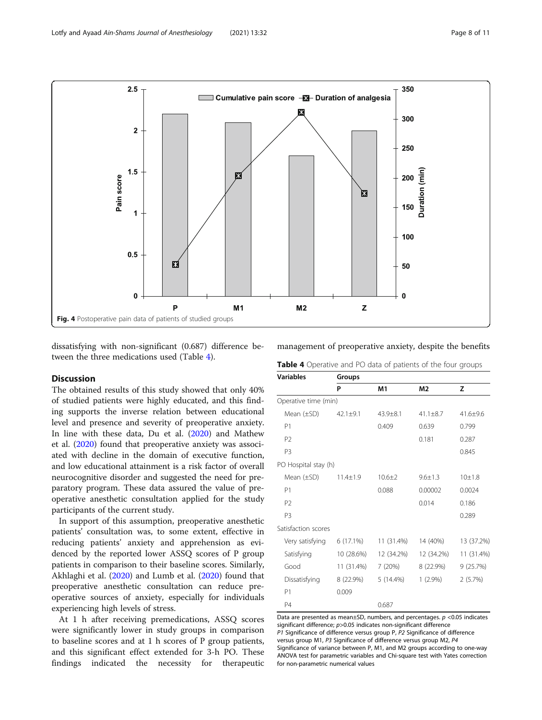<span id="page-7-0"></span>

dissatisfying with non-significant (0.687) difference between the three medications used (Table 4).

# **Discussion**

The obtained results of this study showed that only 40% of studied patients were highly educated, and this finding supports the inverse relation between educational level and presence and severity of preoperative anxiety. In line with these data, Du et al. ([2020](#page-9-0)) and Mathew et al. ([2020](#page-9-0)) found that preoperative anxiety was associated with decline in the domain of executive function, and low educational attainment is a risk factor of overall neurocognitive disorder and suggested the need for preparatory program. These data assured the value of preoperative anesthetic consultation applied for the study participants of the current study.

In support of this assumption, preoperative anesthetic patients' consultation was, to some extent, effective in reducing patients' anxiety and apprehension as evidenced by the reported lower ASSQ scores of P group patients in comparison to their baseline scores. Similarly, Akhlaghi et al. [\(2020\)](#page-9-0) and Lumb et al. [\(2020\)](#page-9-0) found that preoperative anesthetic consultation can reduce preoperative sources of anxiety, especially for individuals experiencing high levels of stress.

At 1 h after receiving premedications, ASSQ scores were significantly lower in study groups in comparison to baseline scores and at 1 h scores of P group patients, and this significant effect extended for 3-h PO. These findings indicated the necessity for therapeutic

management of preoperative anxiety, despite the benefits

| <b>Variables</b>     | Groups         |                |                |              |  |  |  |  |  |
|----------------------|----------------|----------------|----------------|--------------|--|--|--|--|--|
|                      | P              | M1             | M <sub>2</sub> | z            |  |  |  |  |  |
| Operative time (min) |                |                |                |              |  |  |  |  |  |
| Mean $(\pm SD)$      | $42.1 \pm 9.1$ | $43.9 \pm 8.1$ | $41.1 \pm 8.7$ | $41.6 + 9.6$ |  |  |  |  |  |
| P <sub>1</sub>       |                | 0.409          | 0.639          | 0.799        |  |  |  |  |  |
| P <sub>2</sub>       |                |                | 0.181          | 0.287        |  |  |  |  |  |
| P <sub>3</sub>       |                |                |                | 0.845        |  |  |  |  |  |
| PO Hospital stay (h) |                |                |                |              |  |  |  |  |  |
| Mean (±SD)           | $11.4 \pm 1.9$ | $10.6 + 2$     | $9.6 \pm 1.3$  | 10±1.8       |  |  |  |  |  |
| P <sub>1</sub>       |                | 0.088          | 0.00002        | 0.0024       |  |  |  |  |  |
| P <sub>2</sub>       |                |                | 0.014          | 0.186        |  |  |  |  |  |
| P <sub>3</sub>       |                |                |                | 0.289        |  |  |  |  |  |
| Satisfaction scores  |                |                |                |              |  |  |  |  |  |
| Very satisfying      | 6 (17.1%)      | 11 (31.4%)     | 14 (40%)       | 13 (37.2%)   |  |  |  |  |  |
| Satisfying           | 10 (28.6%)     | 12 (34.2%)     | 12 (34.2%)     | 11 (31.4%)   |  |  |  |  |  |
| Good                 | 11 (31.4%)     | 7(20%)         | 8 (22.9%)      | 9(25.7%)     |  |  |  |  |  |
| Dissatisfying        | 8 (22.9%)      | 5 (14.4%)      | $1(2.9\%)$     | 2(5.7%)      |  |  |  |  |  |
| P <sub>1</sub>       | 0.009          |                |                |              |  |  |  |  |  |
| <b>P4</b>            |                | 0.687          |                |              |  |  |  |  |  |

Data are presented as mean±SD, numbers, and percentages. *p* <0.05 indicates<br>significant difference: p>0.05 indicates pon-significant difference significant difference;  $p > 0.05$  indicates non-significant difference<br> $p_1$  Significance of difference versus group R,  $p_2$  Significance of c P1 Significance of difference versus group P, P2 Significance of difference versus group M1, P3 Significance of difference versus group M2, P4 Significance of variance between P, M1, and M2 groups according to one-way ANOVA test for parametric variables and Chi-square test with Yates correction for non-parametric numerical values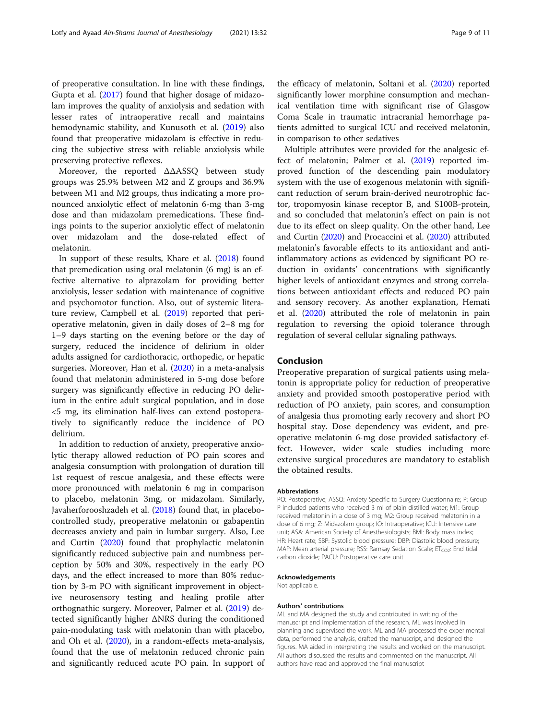of preoperative consultation. In line with these findings, Gupta et al. [\(2017\)](#page-9-0) found that higher dosage of midazolam improves the quality of anxiolysis and sedation with lesser rates of intraoperative recall and maintains hemodynamic stability, and Kunusoth et al. ([2019](#page-9-0)) also found that preoperative midazolam is effective in reducing the subjective stress with reliable anxiolysis while preserving protective reflexes.

Moreover, the reported ΔΔASSQ between study groups was 25.9% between M2 and Z groups and 36.9% between M1 and M2 groups, thus indicating a more pronounced anxiolytic effect of melatonin 6-mg than 3-mg dose and than midazolam premedications. These findings points to the superior anxiolytic effect of melatonin over midazolam and the dose-related effect of melatonin.

In support of these results, Khare et al. ([2018](#page-9-0)) found that premedication using oral melatonin (6 mg) is an effective alternative to alprazolam for providing better anxiolysis, lesser sedation with maintenance of cognitive and psychomotor function. Also, out of systemic literature review, Campbell et al. ([2019](#page-9-0)) reported that perioperative melatonin, given in daily doses of 2–8 mg for 1–9 days starting on the evening before or the day of surgery, reduced the incidence of delirium in older adults assigned for cardiothoracic, orthopedic, or hepatic surgeries. Moreover, Han et al. ([2020](#page-9-0)) in a meta-analysis found that melatonin administered in 5-mg dose before surgery was significantly effective in reducing PO delirium in the entire adult surgical population, and in dose <5 mg, its elimination half-lives can extend postoperatively to significantly reduce the incidence of PO delirium.

In addition to reduction of anxiety, preoperative anxiolytic therapy allowed reduction of PO pain scores and analgesia consumption with prolongation of duration till 1st request of rescue analgesia, and these effects were more pronounced with melatonin 6 mg in comparison to placebo, melatonin 3mg, or midazolam. Similarly, Javaherforooshzadeh et al. [\(2018\)](#page-9-0) found that, in placebocontrolled study, preoperative melatonin or gabapentin decreases anxiety and pain in lumbar surgery. Also, Lee and Curtin [\(2020\)](#page-9-0) found that prophylactic melatonin significantly reduced subjective pain and numbness perception by 50% and 30%, respectively in the early PO days, and the effect increased to more than 80% reduction by 3-m PO with significant improvement in objective neurosensory testing and healing profile after orthognathic surgery. Moreover, Palmer et al. [\(2019\)](#page-9-0) detected significantly higher ΔNRS during the conditioned pain-modulating task with melatonin than with placebo, and Oh et al. ([2020](#page-9-0)), in a random-effects meta-analysis, found that the use of melatonin reduced chronic pain and significantly reduced acute PO pain. In support of the efficacy of melatonin, Soltani et al. ([2020](#page-10-0)) reported significantly lower morphine consumption and mechanical ventilation time with significant rise of Glasgow Coma Scale in traumatic intracranial hemorrhage patients admitted to surgical ICU and received melatonin, in comparison to other sedatives

Multiple attributes were provided for the analgesic effect of melatonin; Palmer et al. ([2019](#page-9-0)) reported improved function of the descending pain modulatory system with the use of exogenous melatonin with significant reduction of serum brain-derived neurotrophic factor, tropomyosin kinase receptor B, and S100B-protein, and so concluded that melatonin's effect on pain is not due to its effect on sleep quality. On the other hand, Lee and Curtin [\(2020\)](#page-9-0) and Procaccini et al. [\(2020\)](#page-10-0) attributed melatonin's favorable effects to its antioxidant and antiinflammatory actions as evidenced by significant PO reduction in oxidants' concentrations with significantly higher levels of antioxidant enzymes and strong correlations between antioxidant effects and reduced PO pain and sensory recovery. As another explanation, Hemati et al. [\(2020\)](#page-9-0) attributed the role of melatonin in pain regulation to reversing the opioid tolerance through regulation of several cellular signaling pathways.

#### Conclusion

Preoperative preparation of surgical patients using melatonin is appropriate policy for reduction of preoperative anxiety and provided smooth postoperative period with reduction of PO anxiety, pain scores, and consumption of analgesia thus promoting early recovery and short PO hospital stay. Dose dependency was evident, and preoperative melatonin 6-mg dose provided satisfactory effect. However, wider scale studies including more extensive surgical procedures are mandatory to establish the obtained results.

#### Abbreviations

PO: Postoperative; ASSQ: Anxiety Specific to Surgery Questionnaire; P: Group P included patients who received 3 ml of plain distilled water; M1: Group received melatonin in a dose of 3 mg; M2: Group received melatonin in a dose of 6 mg; Z: Midazolam group; IO: Intraoperative; ICU: Intensive care unit; ASA: American Society of Anesthesiologists; BMI: Body mass index; HR: Heart rate; SBP: Systolic blood pressure; DBP: Diastolic blood pressure; MAP: Mean arterial pressure; RSS: Ramsay Sedation Scale;  $ET<sub>CO2</sub>$ : End tidal carbon dioxide; PACU: Postoperative care unit

#### Acknowledgements

Not applicable.

#### Authors' contributions

ML and MA designed the study and contributed in writing of the manuscript and implementation of the research. ML was involved in planning and supervised the work. ML and MA processed the experimental data, performed the analysis, drafted the manuscript, and designed the figures. MA aided in interpreting the results and worked on the manuscript. All authors discussed the results and commented on the manuscript. All authors have read and approved the final manuscript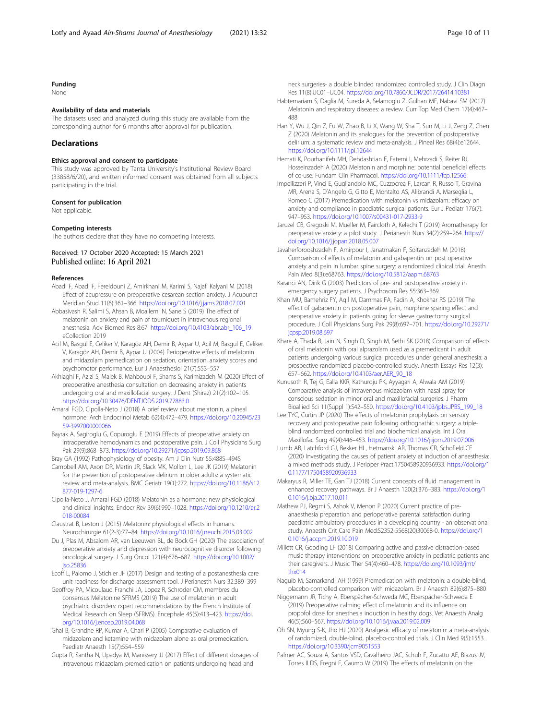# <span id="page-9-0"></span>Funding

None

#### Availability of data and materials

The datasets used and analyzed during this study are available from the corresponding author for 6 months after approval for publication.

#### Declarations

#### Ethics approval and consent to participate

This study was approved by Tanta University's Institutional Review Board (33858/6/20), and written informed consent was obtained from all subjects participating in the trial.

#### Consent for publication

Not applicable.

#### Competing interests

The authors declare that they have no competing interests.

# Received: 17 October 2020 Accepted: 15 March 2021 Published online: 16 April 2021

#### References

- Abadi F, Abadi F, Fereidouni Z, Amirkhani M, Karimi S, Najafi Kalyani M (2018) Effect of acupressure on preoperative cesarean section anxiety. J Acupunct Meridian Stud 11(6):361–366. <https://doi.org/10.1016/j.jams.2018.07.001>
- Abbasivash R, Salimi S, Ahsan B, Moallemi N, Sane S (2019) The effect of melatonin on anxiety and pain of tourniquet in intravenous regional anesthesia. Adv Biomed Res 8:67. [https://doi.org/10.4103/abr.abr\\_106\\_19](https://doi.org/10.4103/abr.abr_106_19) eCollection 2019
- Acil M, Basgul E, Celiker V, Karagöz AH, Demir B, Aypar U, Acil M, Basgul E, Celiker V, Karagöz AH, Demir B, Aypar U (2004) Perioperative effects of melatonin and midazolam premedication on sedation, orientation, anxiety scores and psychomotor performance. Eur J Anaesthesiol 21(7):553–557
- Akhlaghi F, Azizi S, Malek B, Mahboubi F, Shams S, Karimizadeh M (2020) Effect of preoperative anesthesia consultation on decreasing anxiety in patients undergoing oral and maxillofacial surgery. J Dent (Shiraz) 21(2):102–105. <https://doi.org/10.30476/DENTJODS.2019.77883.0>
- Amaral FGD, Cipolla-Neto J (2018) A brief review about melatonin, a pineal hormone. Arch Endocrinol Metab 62(4):472–479. [https://doi.org/10.20945/23](https://doi.org/10.20945/2359-3997000000066) [59-3997000000066](https://doi.org/10.20945/2359-3997000000066)
- Bayrak A, Sagiroglu G, Copuroglu E (2019) Effects of preoperative anxiety on intraoperative hemodynamics and postoperative pain. J Coll Physicians Surg Pak 29(9):868–873. <https://doi.org/10.29271/jcpsp.2019.09.868>
- Bray GA (1992) Pathophysiology of obesity. Am J Clin Nutr 55:488S–494S
- Campbell AM, Axon DR, Martin JR, Slack MK, Mollon L, Lee JK (2019) Melatonin for the prevention of postoperative delirium in older adults: a systematic review and meta-analysis. BMC Geriatr 19(1):272. [https://doi.org/10.1186/s12](https://doi.org/10.1186/s12877-019-1297-6) [877-019-1297-6](https://doi.org/10.1186/s12877-019-1297-6)
- Cipolla-Neto J, Amaral FGD (2018) Melatonin as a hormone: new physiological and clinical insights. Endocr Rev 39(6):990–1028. [https://doi.org/10.1210/er.2](https://doi.org/10.1210/er.2018-00084) [018-00084](https://doi.org/10.1210/er.2018-00084)
- Claustrat B, Leston J (2015) Melatonin: physiological effects in humans. Neurochirurgie 61(2-3):77–84. <https://doi.org/10.1016/j.neuchi.2015.03.002>
- Du J, Plas M, Absalom AR, van Leeuwen BL, de Bock GH (2020) The association of preoperative anxiety and depression with neurocognitive disorder following oncological surgery. J Surg Oncol 121(4):676–687. [https://doi.org/10.1002/](https://doi.org/10.1002/jso.25836) [jso.25836](https://doi.org/10.1002/jso.25836)
- Ecoff L, Palomo J, Stichler JF (2017) Design and testing of a postanesthesia care unit readiness for discharge assessment tool. J Perianesth Nurs 32:389–399
- Geoffroy PA, Micoulaud Franchi JA, Lopez R, Schroder CM, membres du consensus Mélatonine SFRMS (2019) The use of melatonin in adult psychiatric disorders: rxpert recommendations by the French Institute of Medical Research on Sleep (SFRMS). Encephale 45(5):413–423. [https://doi.](https://doi.org/10.1016/j.encep.2019.04.068) [org/10.1016/j.encep.2019.04.068](https://doi.org/10.1016/j.encep.2019.04.068)
- Ghai B, Grandhe RP, Kumar A, Chari P (2005) Comparative evaluation of midazolam and ketamine with midazolam alone as oral premedication. Paediatr Anaesth 15(7):554–559
- Gupta R, Santha N, Upadya M, Manissery JJ (2017) Effect of different dosages of intravenous midazolam premedication on patients undergoing head and

neck surgeries- a double blinded randomized controlled study. J Clin Diagn Res 11(8):UC01–UC04. <https://doi.org/10.7860/JCDR/2017/26414.10381>

- Habtemariam S, Daglia M, Sureda A, Selamoglu Z, Gulhan MF, Nabavi SM (2017) Melatonin and respiratory diseases: a review. Curr Top Med Chem 17(4):467– 488
- Han Y, Wu J, Qin Z, Fu W, Zhao B, Li X, Wang W, Sha T, Sun M, Li J, Zeng Z, Chen Z (2020) Melatonin and its analogues for the prevention of postoperative delirium: a systematic review and meta-analysis. J Pineal Res 68(4):e12644. <https://doi.org/10.1111/jpi.12644>
- Hemati K, Pourhanifeh MH, Dehdashtian E, Fatemi I, Mehrzadi S, Reiter RJ, Hosseinzadeh A (2020) Melatonin and morphine: potential beneficial effects of co-use. Fundam Clin Pharmacol. <https://doi.org/10.1111/fcp.12566>
- Impellizzeri P, Vinci E, Gugliandolo MC, Cuzzocrea F, Larcan R, Russo T, Gravina MR, Arena S, D'Angelo G, Gitto E, Montalto AS, Alibrandi A, Marseglia L, Romeo C (2017) Premedication with melatonin vs midazolam: efficacy on anxiety and compliance in paediatric surgical patients. Eur J Pediatr 176(7): 947–953. <https://doi.org/10.1007/s00431-017-2933-9>
- Jaruzel CB, Gregoski M, Mueller M, Faircloth A, Kelechi T (2019) Aromatherapy for preoperative anxiety: a pilot study. J Perianesth Nurs 34(2):259–264. [https://](https://doi.org/10.1016/j.jopan.2018.05.007) [doi.org/10.1016/j.jopan.2018.05.007](https://doi.org/10.1016/j.jopan.2018.05.007)
- Javaherforooshzadeh F, Amirpour I, Janatmakan F, Soltanzadeh M (2018) Comparison of effects of melatonin and gabapentin on post operative anxiety and pain in lumbar spine surgery: a randomized clinical trial. Anesth Pain Med 8(3):e68763. <https://doi.org/10.5812/aapm.68763>
- Karanci AN, Dirik G (2003) Predictors of pre- and postoperative anxiety in emergency surgery patients. J Psychosom Res 55:363–369
- Khan MU, Bamehriz FY, Aqil M, Dammas FA, Fadin A, Khokhar RS (2019) The effect of gabapentin on postoperative pain, morphine sparing effect and preoperative anxiety in patients going for sleeve gastrectomy surgical procedure. J Coll Physicians Surg Pak 29(8):697–701. [https://doi.org/10.29271/](https://doi.org/10.29271/jcpsp.2019.08.697) [jcpsp.2019.08.697](https://doi.org/10.29271/jcpsp.2019.08.697)
- Khare A, Thada B, Jain N, Singh D, Singh M, Sethi SK (2018) Comparison of effects of oral melatonin with oral alprazolam used as a premedicant in adult patients undergoing various surgical procedures under general anesthesia: a prospective randomized placebo-controlled study. Anesth Essays Res 12(3): 657–662. [https://doi.org/10.4103/aer.AER\\_90\\_18](https://doi.org/10.4103/aer.AER_90_18)
- Kunusoth R, Tej G, Ealla KKR, Kathuroju PK, Ayyagari A, Alwala AM (2019) Comparative analysis of intravenous midazolam with nasal spray for conscious sedation in minor oral and maxillofacial surgeries. J Pharm Bioallied Sci 11(Suppl 1):S42–S50. [https://doi.org/10.4103/jpbs.JPBS\\_199\\_18](https://doi.org/10.4103/jpbs.JPBS_199_18)
- Lee TYC, Curtin JP (2020) The effects of melatonin prophylaxis on sensory recovery and postoperative pain following orthognathic surgery: a tripleblind randomized controlled trial and biochemical analysis. Int J Oral Maxillofac Surg 49(4):446–453. <https://doi.org/10.1016/j.ijom.2019.07.006>
- Lumb AB, Latchford GJ, Bekker HL, Hetmanski AR, Thomas CR, Schofield CE (2020) Investigating the causes of patient anxiety at induction of anaesthesia: a mixed methods study. J Perioper Pract:1750458920936933. [https://doi.org/1](https://doi.org/10.1177/1750458920936933) [0.1177/1750458920936933](https://doi.org/10.1177/1750458920936933)
- Makaryus R, Miller TE, Gan TJ (2018) Current concepts of fluid management in enhanced recovery pathways. Br J Anaesth 120(2):376–383. [https://doi.org/1](https://doi.org/10.1016/j.bja.2017.10.011) [0.1016/j.bja.2017.10.011](https://doi.org/10.1016/j.bja.2017.10.011)
- Mathew PJ, Regmi S, Ashok V, Menon P (2020) Current practice of preanaesthesia preparation and perioperative parental satisfaction during paediatric ambulatory procedures in a developing country - an observational study. Anaesth Crit Care Pain Med:S2352-5568(20)30068-0. [https://doi.org/1](https://doi.org/10.1016/j.accpm.2019.10.019) [0.1016/j.accpm.2019.10.019](https://doi.org/10.1016/j.accpm.2019.10.019)
- Millett CR, Gooding LF (2018) Comparing active and passive distraction-based music therapy interventions on preoperative anxiety in pediatric patients and their caregivers. J Music Ther 54(4):460–478. [https://doi.org/10.1093/jmt/](https://doi.org/10.1093/jmt/thx014) [thx014](https://doi.org/10.1093/jmt/thx014)
- Naguib M, Samarkandi AH (1999) Premedication with melatonin: a double-blind, placebo-controlled comparison with midazolam. Br J Anaesth 82(6):875–880
- Niggemann JR, Tichy A, Eberspächer-Schweda MC, Eberspächer-Schweda E (2019) Preoperative calming effect of melatonin and its influence on propofol dose for anesthesia induction in healthy dogs. Vet Anaesth Analg 46(5):560–567. <https://doi.org/10.1016/j.vaa.2019.02.009>
- Oh SN, Myung S-K, Jho HJ (2020) Analgesic efficacy of melatonin: a meta-analysis of randomized, double-blind, placebo-controlled trials. J Clin Med 9(5):1553. <https://doi.org/10.3390/jcm9051553>
- Palmer AC, Souza A, Santos VSD, Cavalheiro JAC, Schuh F, Zucatto AE, Biazus JV, Torres ILDS, Fregni F, Caumo W (2019) The effects of melatonin on the